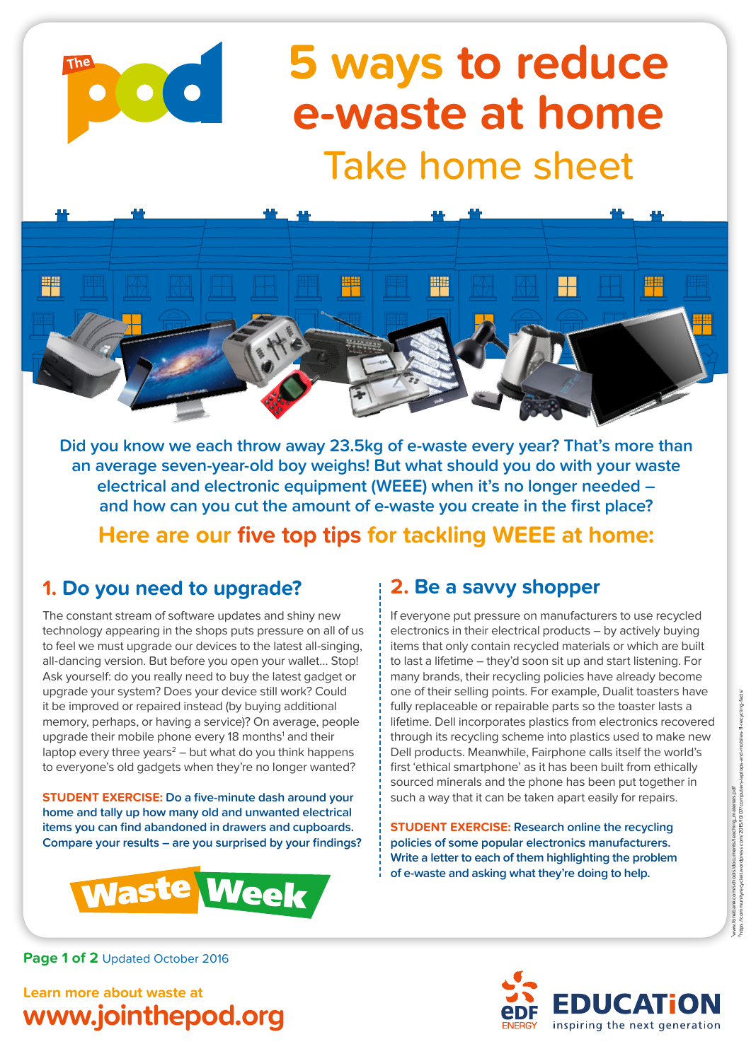

# **5 ways to reduce e-waste at home** Take home sheet



**Did you know we each throw away 23.5kg of e-waste every year? That's more than an average seven-year-old boy weighs! But what should you do with your waste electrical and electronic equipment (WEEE) when it's no longer needed – and how can you cut the amount of e-waste you create in the first place? Here are our five top tips for tackling WEEE at home:**

### **1. Do you need to upgrade?**

The constant stream of software updates and shiny new technology appearing in the shops puts pressure on all of us to feel we must upgrade our devices to the latest all-singing. all-dancing version. But before you open your wallet… Stop! Ask yourself: do you really need to buy the latest gadget or upgrade your system? Does your device still work? Could it be improved or repaired instead (by buying additional memory, perhaps, or having a service)? On average, people upgrade their mobile phone every 18 months<sup>1</sup> and their laptop every three years $2$  – but what do you think happens to everyone's old gadgets when they're no longer wanted?

**STUDENT EXERCISE: Do a five-minute dash around your home and tally up how many old and unwanted electrical items you can find abandoned in drawers and cupboards. Compare your results – are you surprised by your findings?**



### **2. Be a savvy shopper**

If everyone put pressure on manufacturers to use recycled electronics in their electrical products – by actively buying items that only contain recycled materials or which are built to last a lifetime – they'd soon sit up and start listening. For many brands, their recycling policies have already become one of their selling points. For example, Dualit toasters have fully replaceable or repairable parts so the toaster lasts a lifetime. Dell incorporates plastics from electronics recovered through its recycling scheme into plastics used to make new Dell products. Meanwhile, Fairphone calls itself the world's first 'ethical smartphone' as it has been built from ethically sourced minerals and the phone has been put together in such a way that it can be taken apart easily for repairs.

**STUDENT EXERCISE: Research online the recycling policies of some popular electronics manufacturers. Write a letter to each of them highlighting the problem of e-waste and asking what they're doing to help.**

Page 1 of 2 Updated October 2016

**Learn more about waste at www.jointhepod.org**